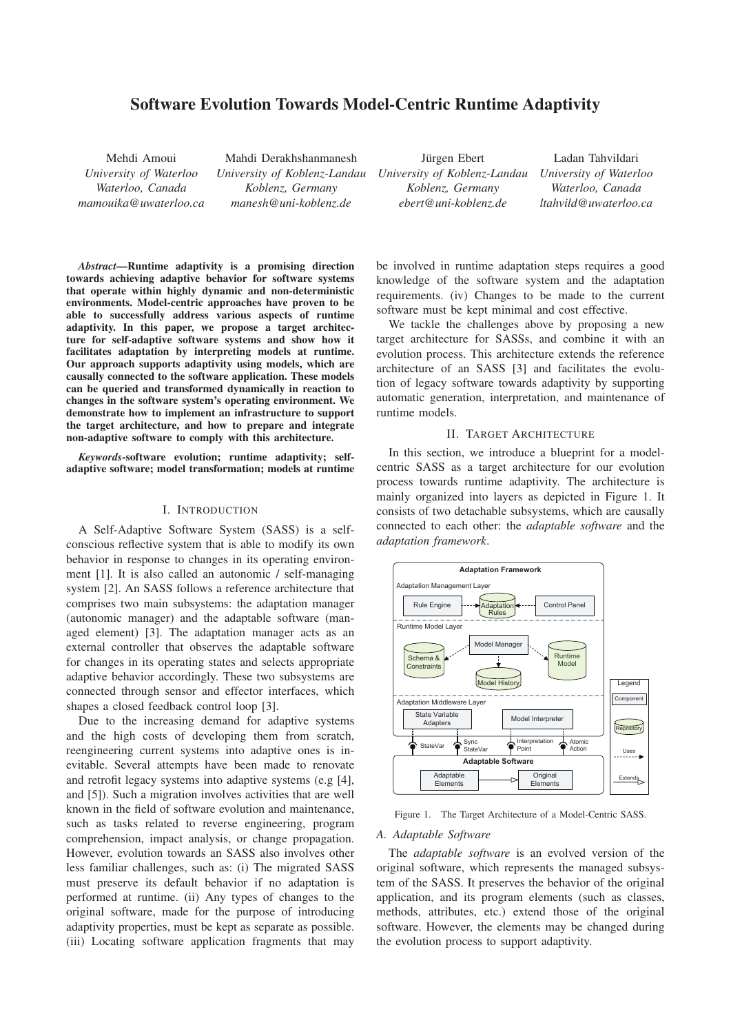# Software Evolution Towards Model-Centric Runtime Adaptivity

Mehdi Amoui *University of Waterloo Waterloo, Canada mamouika@uwaterloo.ca*

Mahdi Derakhshanmanesh *University of Koblenz-Landau Koblenz, Germany manesh@uni-koblenz.de*

*Abstract*—Runtime adaptivity is a promising direction towards achieving adaptive behavior for software systems that operate within highly dynamic and non-deterministic environments. Model-centric approaches have proven to be able to successfully address various aspects of runtime adaptivity. In this paper, we propose a target architecture for self-adaptive software systems and show how it facilitates adaptation by interpreting models at runtime. Our approach supports adaptivity using models, which are causally connected to the software application. These models can be queried and transformed dynamically in reaction to changes in the software system's operating environment. We demonstrate how to implement an infrastructure to support the target architecture, and how to prepare and integrate non-adaptive software to comply with this architecture.

*Keywords*-software evolution; runtime adaptivity; selfadaptive software; model transformation; models at runtime

# I. INTRODUCTION

A Self-Adaptive Software System (SASS) is a selfconscious reflective system that is able to modify its own behavior in response to changes in its operating environment [1]. It is also called an autonomic / self-managing system [2]. An SASS follows a reference architecture that comprises two main subsystems: the adaptation manager (autonomic manager) and the adaptable software (managed element) [3]. The adaptation manager acts as an external controller that observes the adaptable software for changes in its operating states and selects appropriate adaptive behavior accordingly. These two subsystems are connected through sensor and effector interfaces, which shapes a closed feedback control loop [3].

Due to the increasing demand for adaptive systems and the high costs of developing them from scratch, reengineering current systems into adaptive ones is inevitable. Several attempts have been made to renovate and retrofit legacy systems into adaptive systems (e.g [4], and [5]). Such a migration involves activities that are well known in the field of software evolution and maintenance, such as tasks related to reverse engineering, program comprehension, impact analysis, or change propagation. However, evolution towards an SASS also involves other less familiar challenges, such as: (i) The migrated SASS must preserve its default behavior if no adaptation is performed at runtime. (ii) Any types of changes to the original software, made for the purpose of introducing adaptivity properties, must be kept as separate as possible. (iii) Locating software application fragments that may

Jürgen Ebert *University of Koblenz-Landau Koblenz, Germany ebert@uni-koblenz.de*

Ladan Tahvildari *University of Waterloo Waterloo, Canada ltahvild@uwaterloo.ca*

be involved in runtime adaptation steps requires a good knowledge of the software system and the adaptation requirements. (iv) Changes to be made to the current software must be kept minimal and cost effective.

We tackle the challenges above by proposing a new target architecture for SASSs, and combine it with an evolution process. This architecture extends the reference architecture of an SASS [3] and facilitates the evolution of legacy software towards adaptivity by supporting automatic generation, interpretation, and maintenance of runtime models.

# II. TARGET ARCHITECTURE

In this section, we introduce a blueprint for a modelcentric SASS as a target architecture for our evolution process towards runtime adaptivity. The architecture is mainly organized into layers as depicted in Figure 1. It consists of two detachable subsystems, which are causally connected to each other: the *adaptable software* and the *adaptation framework*.



Figure 1. The Target Architecture of a Model-Centric SASS.

# *A. Adaptable Software*

The *adaptable software* is an evolved version of the original software, which represents the managed subsystem of the SASS. It preserves the behavior of the original application, and its program elements (such as classes, methods, attributes, etc.) extend those of the original software. However, the elements may be changed during the evolution process to support adaptivity.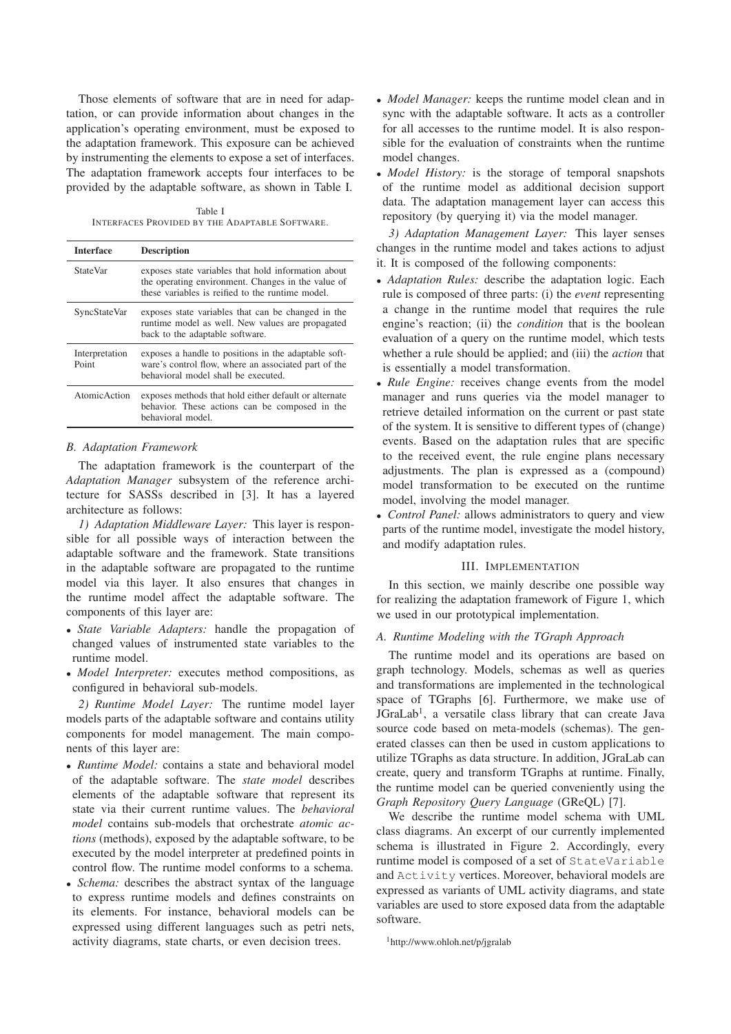Those elements of software that are in need for adaptation, or can provide information about changes in the application's operating environment, must be exposed to the adaptation framework. This exposure can be achieved by instrumenting the elements to expose a set of interfaces. The adaptation framework accepts four interfaces to be provided by the adaptable software, as shown in Table I.

Table I INTERFACES PROVIDED BY THE ADAPTABLE SOFTWARE.

| <b>Interface</b>        | <b>Description</b>                                                                                                                                            |
|-------------------------|---------------------------------------------------------------------------------------------------------------------------------------------------------------|
| StateVar                | exposes state variables that hold information about<br>the operating environment. Changes in the value of<br>these variables is reified to the runtime model. |
| SyncStateVar            | exposes state variables that can be changed in the<br>runtime model as well. New values are propagated<br>back to the adaptable software.                     |
| Interpretation<br>Point | exposes a handle to positions in the adaptable soft-<br>ware's control flow, where an associated part of the<br>behavioral model shall be executed.           |
| AtomicAction            | exposes methods that hold either default or alternate<br>behavior. These actions can be composed in the<br>behavioral model.                                  |

# *B. Adaptation Framework*

The adaptation framework is the counterpart of the *Adaptation Manager* subsystem of the reference architecture for SASSs described in [3]. It has a layered architecture as follows:

*1) Adaptation Middleware Layer:* This layer is responsible for all possible ways of interaction between the adaptable software and the framework. State transitions in the adaptable software are propagated to the runtime model via this layer. It also ensures that changes in the runtime model affect the adaptable software. The components of this layer are:

- *State Variable Adapters:* handle the propagation of changed values of instrumented state variables to the runtime model.
- *Model Interpreter:* executes method compositions, as configured in behavioral sub-models.

*2) Runtime Model Layer:* The runtime model layer models parts of the adaptable software and contains utility components for model management. The main components of this layer are:

- *Runtime Model:* contains a state and behavioral model of the adaptable software. The *state model* describes elements of the adaptable software that represent its state via their current runtime values. The *behavioral model* contains sub-models that orchestrate *atomic actions* (methods), exposed by the adaptable software, to be executed by the model interpreter at predefined points in control flow. The runtime model conforms to a schema.
- *Schema:* describes the abstract syntax of the language to express runtime models and defines constraints on its elements. For instance, behavioral models can be expressed using different languages such as petri nets, activity diagrams, state charts, or even decision trees.
- *Model Manager:* keeps the runtime model clean and in sync with the adaptable software. It acts as a controller for all accesses to the runtime model. It is also responsible for the evaluation of constraints when the runtime model changes.
- *Model History:* is the storage of temporal snapshots of the runtime model as additional decision support data. The adaptation management layer can access this repository (by querying it) via the model manager.

*3) Adaptation Management Layer:* This layer senses changes in the runtime model and takes actions to adjust it. It is composed of the following components:

- *Adaptation Rules:* describe the adaptation logic. Each rule is composed of three parts: (i) the *event* representing a change in the runtime model that requires the rule engine's reaction; (ii) the *condition* that is the boolean evaluation of a query on the runtime model, which tests whether a rule should be applied; and (iii) the *action* that is essentially a model transformation.
- *Rule Engine:* receives change events from the model manager and runs queries via the model manager to retrieve detailed information on the current or past state of the system. It is sensitive to different types of (change) events. Based on the adaptation rules that are specific to the received event, the rule engine plans necessary adjustments. The plan is expressed as a (compound) model transformation to be executed on the runtime model, involving the model manager.
- *Control Panel:* allows administrators to query and view parts of the runtime model, investigate the model history, and modify adaptation rules.

### III. IMPLEMENTATION

In this section, we mainly describe one possible way for realizing the adaptation framework of Figure 1, which we used in our prototypical implementation.

# *A. Runtime Modeling with the TGraph Approach*

The runtime model and its operations are based on graph technology. Models, schemas as well as queries and transformations are implemented in the technological space of TGraphs [6]. Furthermore, we make use of JGraLab<sup>1</sup>, a versatile class library that can create Java source code based on meta-models (schemas). The generated classes can then be used in custom applications to utilize TGraphs as data structure. In addition, JGraLab can create, query and transform TGraphs at runtime. Finally, the runtime model can be queried conveniently using the *Graph Repository Query Language* (GReQL) [7].

We describe the runtime model schema with UML class diagrams. An excerpt of our currently implemented schema is illustrated in Figure 2. Accordingly, every runtime model is composed of a set of StateVariable and Activity vertices. Moreover, behavioral models are expressed as variants of UML activity diagrams, and state variables are used to store exposed data from the adaptable software.

<sup>1</sup>http://www.ohloh.net/p/jgralab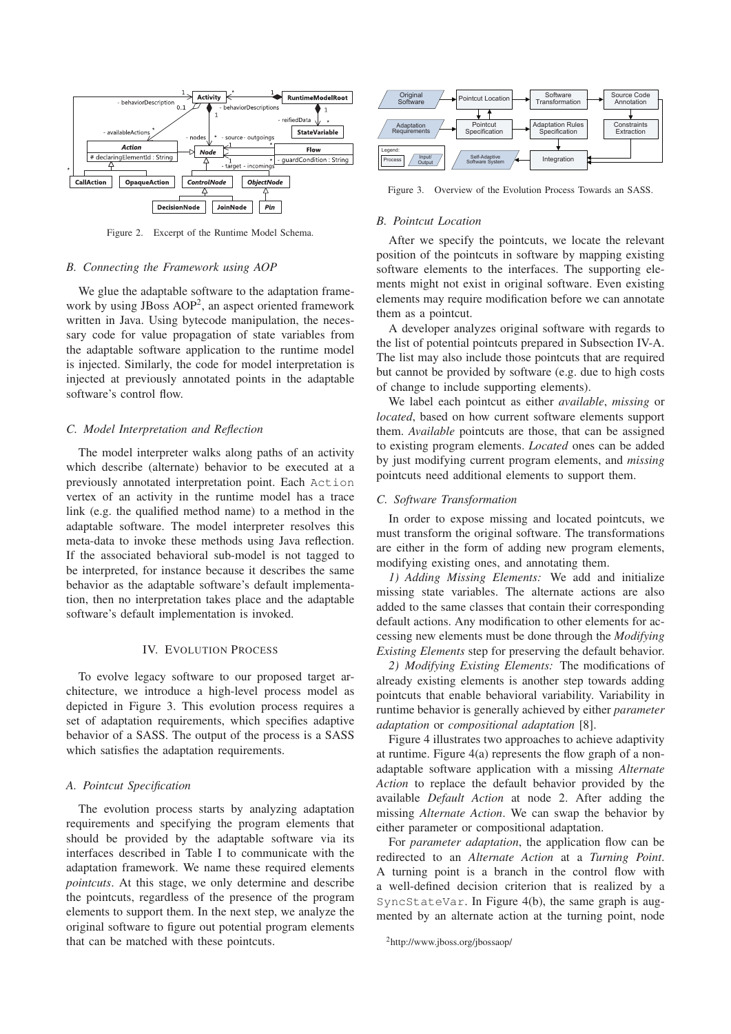

Figure 2. Excerpt of the Runtime Model Schema.

### *B. Connecting the Framework using AOP*

We glue the adaptable software to the adaptation framework by using JBoss AOP<sup>2</sup>, an aspect oriented framework written in Java. Using bytecode manipulation, the necessary code for value propagation of state variables from the adaptable software application to the runtime model is injected. Similarly, the code for model interpretation is injected at previously annotated points in the adaptable software's control flow.

# *C. Model Interpretation and Reflection*

The model interpreter walks along paths of an activity which describe (alternate) behavior to be executed at a previously annotated interpretation point. Each Action vertex of an activity in the runtime model has a trace link (e.g. the qualified method name) to a method in the adaptable software. The model interpreter resolves this meta-data to invoke these methods using Java reflection. If the associated behavioral sub-model is not tagged to be interpreted, for instance because it describes the same behavior as the adaptable software's default implementation, then no interpretation takes place and the adaptable software's default implementation is invoked.

# IV. EVOLUTION PROCESS

To evolve legacy software to our proposed target architecture, we introduce a high-level process model as depicted in Figure 3. This evolution process requires a set of adaptation requirements, which specifies adaptive behavior of a SASS. The output of the process is a SASS which satisfies the adaptation requirements.

### *A. Pointcut Specification*

The evolution process starts by analyzing adaptation requirements and specifying the program elements that should be provided by the adaptable software via its interfaces described in Table I to communicate with the adaptation framework. We name these required elements *pointcuts*. At this stage, we only determine and describe the pointcuts, regardless of the presence of the program elements to support them. In the next step, we analyze the original software to figure out potential program elements that can be matched with these pointcuts.



Figure 3. Overview of the Evolution Process Towards an SASS.

# *B. Pointcut Location*

After we specify the pointcuts, we locate the relevant position of the pointcuts in software by mapping existing software elements to the interfaces. The supporting elements might not exist in original software. Even existing elements may require modification before we can annotate them as a pointcut.

A developer analyzes original software with regards to the list of potential pointcuts prepared in Subsection IV-A. The list may also include those pointcuts that are required but cannot be provided by software (e.g. due to high costs of change to include supporting elements).

We label each pointcut as either *available*, *missing* or *located*, based on how current software elements support them. *Available* pointcuts are those, that can be assigned to existing program elements. *Located* ones can be added by just modifying current program elements, and *missing* pointcuts need additional elements to support them.

# *C. Software Transformation*

In order to expose missing and located pointcuts, we must transform the original software. The transformations are either in the form of adding new program elements, modifying existing ones, and annotating them.

*1) Adding Missing Elements:* We add and initialize missing state variables. The alternate actions are also added to the same classes that contain their corresponding default actions. Any modification to other elements for accessing new elements must be done through the *Modifying Existing Elements* step for preserving the default behavior.

*2) Modifying Existing Elements:* The modifications of already existing elements is another step towards adding pointcuts that enable behavioral variability. Variability in runtime behavior is generally achieved by either *parameter adaptation* or *compositional adaptation* [8].

Figure 4 illustrates two approaches to achieve adaptivity at runtime. Figure 4(a) represents the flow graph of a nonadaptable software application with a missing *Alternate Action* to replace the default behavior provided by the available *Default Action* at node 2. After adding the missing *Alternate Action*. We can swap the behavior by either parameter or compositional adaptation.

For *parameter adaptation*, the application flow can be redirected to an *Alternate Action* at a *Turning Point*. A turning point is a branch in the control flow with a well-defined decision criterion that is realized by a SyncStateVar. In Figure 4(b), the same graph is augmented by an alternate action at the turning point, node

<sup>2</sup>http://www.jboss.org/jbossaop/